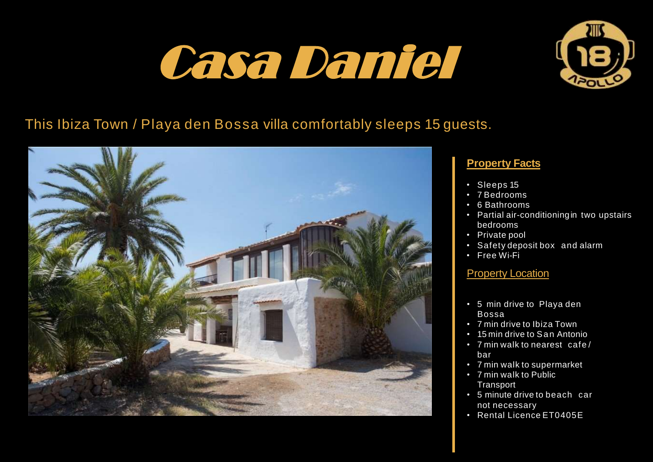# Casa Daniel



## This Ibiza Town / Playa den Bossa villa comfortably sleeps 15 guests.



### **Property Facts**

- Sleeps 15
- 7 Bedrooms
- 6 Bathrooms
- Partial air-conditioningin two upstairs bedrooms
- Private pool
- Safety deposit box and alarm
- Free Wi-Fi

### **Property Location**

- 5 min drive to Playa den Bossa
- 7 min drive to Ibiza Town
- 15 min drive to San Antonio
- 7 min walk to nearest cafe / bar
- 7 min walk to supermarket
- 7 min walk to Public **Transport**
- 5 minute drive to beach car not necessary
- Rental Licence ET0405E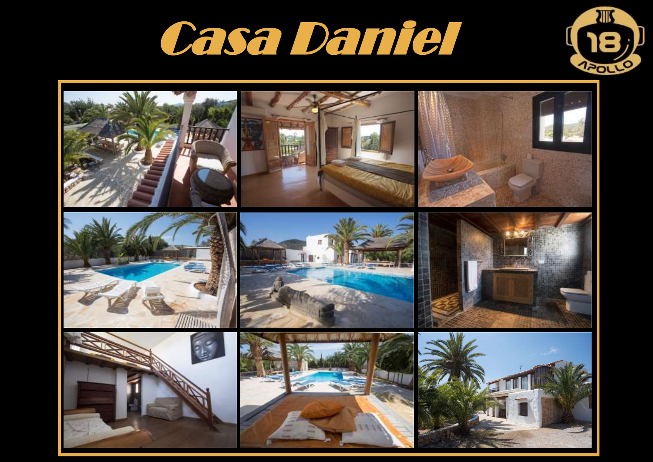



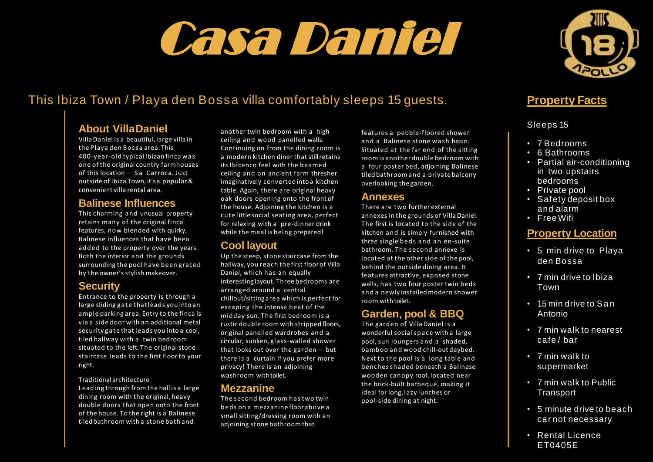# Casa Daniel



## This Ibiza Town / Playa den Bossa villa comfortably sleeps 15 guests.

#### **About VillaDaniel**

Villa Daniel is a beautiful, large villa in the Playa den Bossa area. This 400-year-old typical Ibizan finca was one of the original country farmhouses of this location – S a Carroca. Just outside of Ibiza Town, it's a popular& convenient villa rental area.

#### **Balinese Influences**

This charming and unusual property retains many of the original finca features, now blended with quirky, Balinese influences that have been added to the property over the years. Both the interior and the grounds surrounding the pool have been graced by the owner's stylish makeover.

#### **Security**

Entrance to the property is through a large sliding gate thatleads you into an ample parking area. Entry to the finca is via a side door with an additional metal security gate that leads you into a cool, tiled hallway with a twin bedroom situated to the left. The original stone staircase leads to the first floor to your right.

Traditional architecture Leading through from the hall is a large dining room with the original, heavy double doors that open onto the front of the house. To the right is a Balinese tiled bathroom with a stone bath and

another twin bedroom with a high ceiling and wood panelled walls. Continuing on from the dining room is a modern kitchen diner that stillretains its Ibicenco feel with the beamed ceiling and an ancient farm thresher imaginatively converted intoa kitchen table. Again, there are original heavy oak doors opening onto the front of the house. Adjoining the kitchen is a cute little social seating area, perfect for relaxing with a pre-dinner drink while the meal is being prepared!

#### **Cool layout**

Up the steep, stone staircase from the hallway, you reach the first floorof Villa Daniel, which has an equally interesting layout. Three bedrooms are arranged around a central chillout/sitting area which is perfect for escaping the intense heat of the midday sun. The first bedroom is a rustic double room with stripped floors, original panelled wardrobes and a circular, sunken, glass-walled shower that looks out over the garden – but there is a curtain if you prefer more privacy! There is an adjoining washroom withtoilet.

#### **Mezzanine**

The second bedroom has two twin beds on a mezzanine floor above a small sitting/dressing room with an adjoining stone bathroom that

features a pebble-floored shower and a Balinese stone wash basin. Situated at the far end of the sitting room is anotherdouble bedroom with a four poster bed, adjoining Balinese tiled bathroomand a private balcony overlooking the garden.

#### **Annexes**

There are two further external annexes in the grounds of Villa Daniel. The first is located to the side of the kitchen and is simply furnished with three single beds and an en-suite bathroom. The second annexe is located at the other side of the pool, behind the outside dining area. It features attractive, exposed stone walls, has two four poster twin beds and a newly installedmodern shower room with toilet.

### **Garden, pool & BBQ**

The garden of Villa Daniel is a wonderful social space with a large pool, sun loungers and a shaded, bamboo and wood chill-out daybed. Next to the pool is a long table and benches shaded beneath a Balinese wooden canopy roof, located near the brick-built barbeque, making it ideal for long,lazy lunches or pool-side dining at night.

## **Property Facts**

Sleeps 15

- 7 Bedrooms
- 6 Bathrooms
- Partial air-conditioning in two upstairs bedrooms
- Private pool
- Safety deposit box and alarm
- Free Wifi

#### **Property Location**

- 5 min drive to Playa den Bossa
- 7 min drive to Ibiza Town
- 15 min drive to San Antonio
- 7 min walk to nearest cafe / bar
- 7 min walk to supermarket
- 7 min walk to Public **Transport**
- 5 minute drive to beach car not necessary
- Rental Licence ET0405E